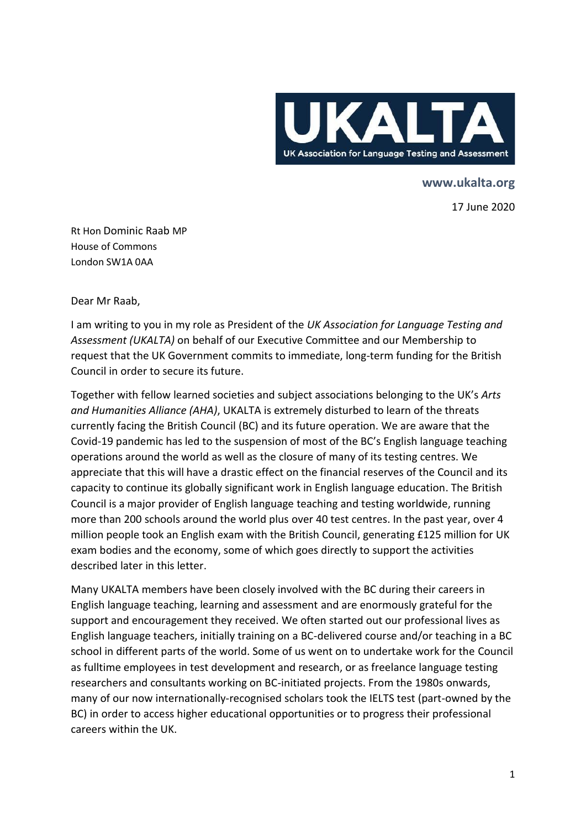

**www.ukalta.org** 

17 June 2020

Rt Hon Dominic Raab MP House of Commons London SW1A 0AA

Dear Mr Raab,

I am writing to you in my role as President of the *UK Association for Language Testing and Assessment (UKALTA)* on behalf of our Executive Committee and our Membership to request that the UK Government commits to immediate, long-term funding for the British Council in order to secure its future.

Together with fellow learned societies and subject associations belonging to the UK's *Arts and Humanities Alliance (AHA)*, UKALTA is extremely disturbed to learn of the threats currently facing the British Council (BC) and its future operation. We are aware that the Covid-19 pandemic has led to the suspension of most of the BC's English language teaching operations around the world as well as the closure of many of its testing centres. We appreciate that this will have a drastic effect on the financial reserves of the Council and its capacity to continue its globally significant work in English language education. The British Council is a major provider of English language teaching and testing worldwide, running more than 200 schools around the world plus over 40 test centres. In the past year, over 4 million people took an English exam with the British Council, generating £125 million for UK exam bodies and the economy, some of which goes directly to support the activities described later in this letter.

Many UKALTA members have been closely involved with the BC during their careers in English language teaching, learning and assessment and are enormously grateful for the support and encouragement they received. We often started out our professional lives as English language teachers, initially training on a BC-delivered course and/or teaching in a BC school in different parts of the world. Some of us went on to undertake work for the Council as fulltime employees in test development and research, or as freelance language testing researchers and consultants working on BC-initiated projects. From the 1980s onwards, many of our now internationally-recognised scholars took the IELTS test (part-owned by the BC) in order to access higher educational opportunities or to progress their professional careers within the UK.